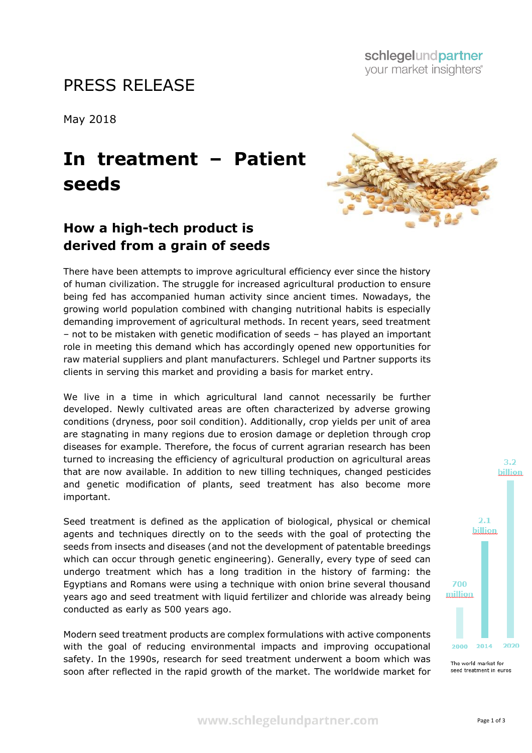## PRESS RELEASE

May 2018

## **In treatment – Patient seeds**

## **How a high-tech product is derived from a grain of seeds**

There have been attempts to improve agricultural efficiency ever since the history of human civilization. The struggle for increased agricultural production to ensure being fed has accompanied human activity since ancient times. Nowadays, the growing world population combined with changing nutritional habits is especially demanding improvement of agricultural methods. In recent years, seed treatment – not to be mistaken with genetic modification of seeds – has played an important role in meeting this demand which has accordingly opened new opportunities for raw material suppliers and plant manufacturers. Schlegel und Partner supports its clients in serving this market and providing a basis for market entry.

We live in a time in which agricultural land cannot necessarily be further developed. Newly cultivated areas are often characterized by adverse growing conditions (dryness, poor soil condition). Additionally, crop yields per unit of area are stagnating in many regions due to erosion damage or depletion through crop diseases for example. Therefore, the focus of current agrarian research has been turned to increasing the efficiency of agricultural production on agricultural areas that are now available. In addition to new tilling techniques, changed pesticides and genetic modification of plants, seed treatment has also become more important.

Seed treatment is defined as the application of biological, physical or chemical agents and techniques directly on to the seeds with the goal of protecting the seeds from insects and diseases (and not the development of patentable breedings which can occur through genetic engineering). Generally, every type of seed can undergo treatment which has a long tradition in the history of farming: the Egyptians and Romans were using a technique with onion brine several thousand years ago and seed treatment with liquid fertilizer and chloride was already being conducted as early as 500 years ago.

Modern seed treatment products are complex formulations with active components with the goal of reducing environmental impacts and improving occupational safety. In the 1990s, research for seed treatment underwent a boom which was soon after reflected in the rapid growth of the market. The worldwide market for



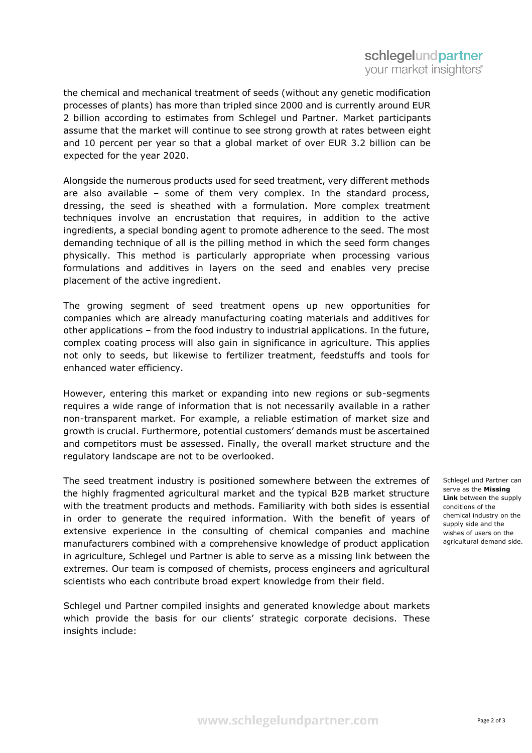the chemical and mechanical treatment of seeds (without any genetic modification processes of plants) has more than tripled since 2000 and is currently around EUR 2 billion according to estimates from Schlegel und Partner. Market participants assume that the market will continue to see strong growth at rates between eight and 10 percent per year so that a global market of over EUR 3.2 billion can be expected for the year 2020.

Alongside the numerous products used for seed treatment, very different methods are also available – some of them very complex. In the standard process, dressing, the seed is sheathed with a formulation. More complex treatment techniques involve an encrustation that requires, in addition to the active ingredients, a special bonding agent to promote adherence to the seed. The most demanding technique of all is the pilling method in which the seed form changes physically. This method is particularly appropriate when processing various formulations and additives in layers on the seed and enables very precise placement of the active ingredient.

The growing segment of seed treatment opens up new opportunities for companies which are already manufacturing coating materials and additives for other applications – from the food industry to industrial applications. In the future, complex coating process will also gain in significance in agriculture. This applies not only to seeds, but likewise to fertilizer treatment, feedstuffs and tools for enhanced water efficiency.

However, entering this market or expanding into new regions or sub-segments requires a wide range of information that is not necessarily available in a rather non-transparent market. For example, a reliable estimation of market size and growth is crucial. Furthermore, potential customers' demands must be ascertained and competitors must be assessed. Finally, the overall market structure and the regulatory landscape are not to be overlooked.

The seed treatment industry is positioned somewhere between the extremes of the highly fragmented agricultural market and the typical B2B market structure with the treatment products and methods. Familiarity with both sides is essential in order to generate the required information. With the benefit of years of extensive experience in the consulting of chemical companies and machine manufacturers combined with a comprehensive knowledge of product application in agriculture, Schlegel und Partner is able to serve as a missing link between the extremes. Our team is composed of chemists, process engineers and agricultural scientists who each contribute broad expert knowledge from their field.

Schlegel und Partner compiled insights and generated knowledge about markets which provide the basis for our clients' strategic corporate decisions. These insights include:

Schlegel und Partner can serve as the **Missing Link** between the supply conditions of the chemical industry on the supply side and the wishes of users on the agricultural demand side.